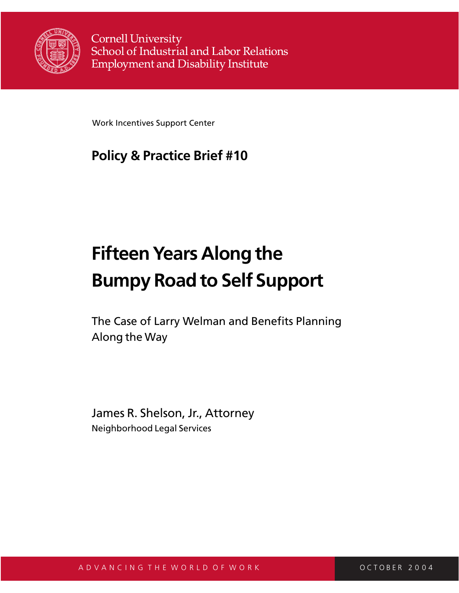

**Cornell University** School of Industrial and Labor Relations **Employment and Disability Institute** 

Work Incentives Support Center

## **Policy & Practice Brief #10**

# **Fifteen Years Along the Bumpy Road to Self Support**

The Case of Larry Welman and Benefits Planning Along the Way

James R. Shelson, Jr., Attorney Neighborhood Legal Services

A D V A N C I N G T H E W O R L D O F W O R K C C O C T O C T O B E R 2 0 0 4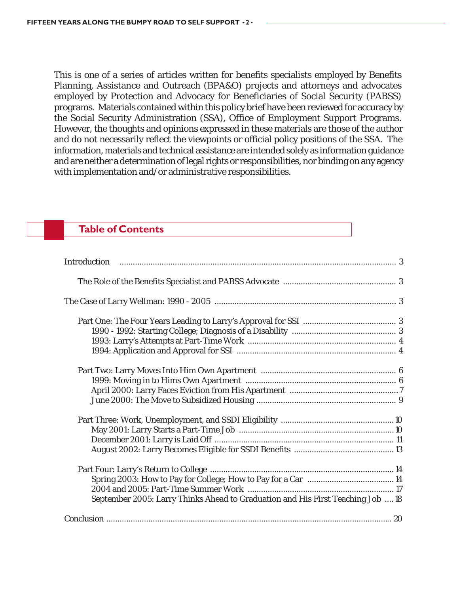This is one of a series of articles written for benefits specialists employed by Benefits Planning, Assistance and Outreach (BPA&O) projects and attorneys and advocates employed by Protection and Advocacy for Beneficiaries of Social Security (PABSS) programs. Materials contained within this policy brief have been reviewed for accuracy by the Social Security Administration (SSA), Office of Employment Support Programs. However, the thoughts and opinions expressed in these materials are those of the author and do not necessarily reflect the viewpoints or official policy positions of the SSA. The information, materials and technical assistance are intended solely as information guidance and are neither a determination of legal rights or responsibilities, nor binding on any agency with implementation and/or administrative responsibilities.

### **Table of Contents**

| September 2005: Larry Thinks Ahead to Graduation and His First Teaching Job  18 |  |
|---------------------------------------------------------------------------------|--|
|                                                                                 |  |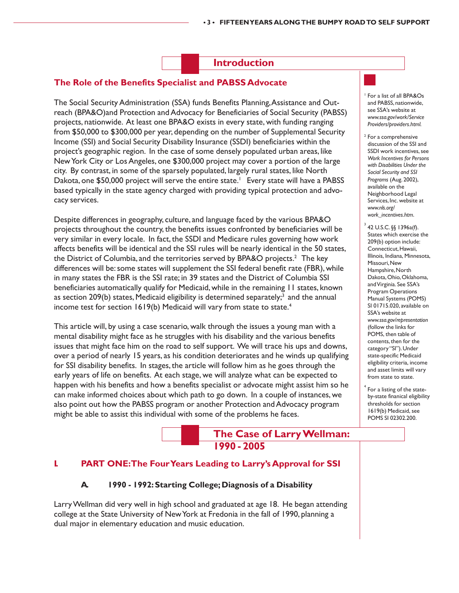#### **Introduction**

#### **The Role of the Benefits Specialist and PABSS Advocate**

The Social Security Administration (SSA) funds Benefits Planning, Assistance and Outreach (BPA&O)and Protection and Advocacy for Beneficiaries of Social Security (PABSS) projects, nationwide. At least one BPA&O exists in every state, with funding ranging from \$50,000 to \$300,000 per year, depending on the number of Supplemental Security Income (SSI) and Social Security Disability Insurance (SSDI) beneficiaries within the project's geographic region. In the case of some densely populated urban areas, like New York City or Los Angeles, one \$300,000 project may cover a portion of the large city. By contrast, in some of the sparsely populated, largely rural states, like North Dakota, one \$50,000 project will serve the entire state.<sup>1</sup> Every state will have a PABSS based typically in the state agency charged with providing typical protection and advocacy services.

Despite differences in geography, culture, and language faced by the various BPA&O projects throughout the country, the benefits issues confronted by beneficiaries will be very similar in every locale. In fact, the SSDI and Medicare rules governing how work affects benefits will be identical and the SSI rules will be nearly identical in the 50 states, the District of Columbia, and the territories served by BPA&O projects.<sup>2</sup> The key differences will be: some states will supplement the SSI federal benefit rate (FBR), while in many states the FBR is the SSI rate; in 39 states and the District of Columbia SSI beneficiaries automatically qualify for Medicaid, while in the remaining 11 states, known as section 209(b) states, Medicaid eligibility is determined separately;<sup>3</sup> and the annual income test for section 1619(b) Medicaid will vary from state to state.<sup>4</sup>

This article will, by using a case scenario, walk through the issues a young man with a mental disability might face as he struggles with his disability and the various benefits issues that might face him on the road to self support. We will trace his ups and downs, over a period of nearly 15 years, as his condition deteriorates and he winds up qualifying for SSI disability benefits. In stages, the article will follow him as he goes through the early years of life on benefits. At each stage, we will analyze what can be expected to happen with his benefits and how a benefits specialist or advocate might assist him so he can make informed choices about which path to go down. In a couple of instances, we also point out how the PABSS program or another Protection and Advocacy program might be able to assist this individual with some of the problems he faces.

#### **The Case of Larry Wellman: 1990 - 2005**

#### **I. PART ONE: The Four Years Leading to Larry's Approval for SSI**

#### **A. 1990 - 1992: Starting College; Diagnosis of a Disability**

Larry Wellman did very well in high school and graduated at age 18. He began attending college at the State University of New York at Fredonia in the fall of 1990, planning a dual major in elementary education and music education.

<sup>1</sup> For a list of all BPA&Os and PABSS, nationwide, see SSA's website at *www.ssa.gov/work/Service Providers/providers.html.*

2 For a comprehensive discussion of the SSI and SSDI work incentives, see *Work Incentives for Persons with Disabilities Under the Social Security and SSI Programs* (Aug. 2002), available on the Neighborhood Legal Services, Inc. website at *www.nls.org/ work\_incentives.htm*.

3

 42 U.S.C. §§ 1396a(f). States which exercise the 209(b) option include: Connecticut, Hawaii, Illinois, Indiana, Minnesota, Missouri, New Hampshire, North Dakota, Ohio, Oklahoma, and Virginia. See SSA's Program Operations Manual Systems (POMS) SI 01715.020, available on SSA's website at *www.ssa.gov/representation* (follow the links for POMS, then table of contents, then for the category "SI"). Under state-specific Medicaid eligibility criteria, income and asset limits will vary from state to state.

4 For a listing of the stateby-state finanical eligibility thresholds for section 1619(b) Medicaid, see POMS SI 02302.200.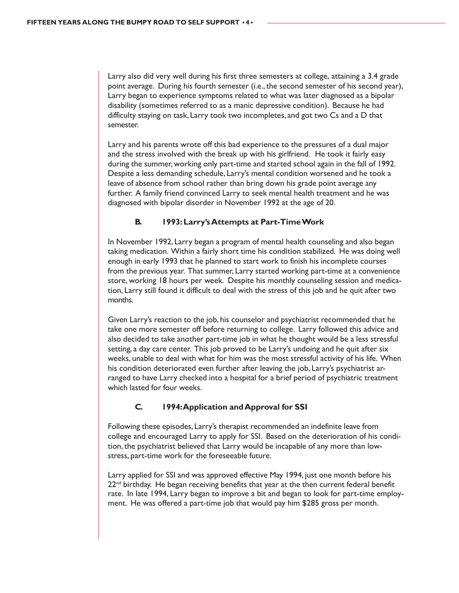Larry also did very well during his first three semesters at college, attaining a 3.4 grade point average. During his fourth semester (i.e., the second semester of his second year), Larry began to experience symptoms related to what was later diagnosed as a bipolar disability (sometimes referred to as a manic depressive condition). Because he had difficulty staying on task, Larry took two incompletes, and got two Cs and a D that semester.

Larry and his parents wrote off this bad experience to the pressures of a dual major and the stress involved with the break up with his girlfriend. He took it fairly easy during the summer, working only part-time and started school again in the fall of 1992. Despite a less demanding schedule, Larry's mental condition worsened and he took a leave of absence from school rather than bring down his grade point average any further. A family friend convinced Larry to seek mental health treatment and he was diagnosed with bipolar disorder in November 1992 at the age of 20.

#### **B. 1993: Larry's Attempts at Part-Time Work**

In November 1992, Larry began a program of mental health counseling and also began taking medication. Within a fairly short time his condition stabilized. He was doing well enough in early 1993 that he planned to start work to finish his incomplete courses from the previous year. That summer, Larry started working part-time at a convenience store, working 18 hours per week. Despite his monthly counseling session and medication, Larry still found it difficult to deal with the stress of this job and he quit after two months.

Given Larry's reaction to the job, his counselor and psychiatrist recommended that he take one more semester off before returning to college. Larry followed this advice and also decided to take another part-time job in what he thought would be a less stressful setting, a day care center. This job proved to be Larry's undoing and he quit after six weeks, unable to deal with what for him was the most stressful activity of his life. When his condition deteriorated even further after leaving the job, Larry's psychiatrist arranged to have Larry checked into a hospital for a brief period of psychiatric treatment which lasted for four weeks.

#### **C. 1994: Application and Approval for SSI**

Following these episodes, Larry's therapist recommended an indefinite leave from college and encouraged Larry to apply for SSI. Based on the deterioration of his condition, the psychiatrist believed that Larry would be incapable of any more than lowstress, part-time work for the foreseeable future.

Larry applied for SSI and was approved effective May 1994, just one month before his  $22<sup>nd</sup>$  birthday. He began receiving benefits that year at the then current federal benefit rate. In late 1994, Larry began to improve a bit and began to look for part-time employment. He was offered a part-time job that would pay him \$285 gross per month.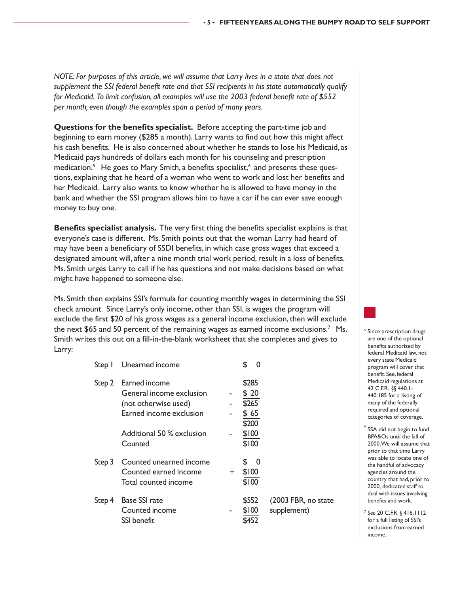*NOTE: For purposes of this article, we will assume that Larry lives in a state that does not supplement the SSI federal benefit rate and that SSI recipients in his state automatically qualify for Medicaid. To limit confusion, all examples will use the 2003 federal benefit rate of \$552 per month, even though the examples span a period of many years.*

**Questions for the benefits specialist.** Before accepting the part-time job and beginning to earn money (\$285 a month), Larry wants to find out how this might affect his cash benefits. He is also concerned about whether he stands to lose his Medicaid, as Medicaid pays hundreds of dollars each month for his counseling and prescription medication.<sup>5</sup> He goes to Mary Smith, a benefits specialist,<sup>6</sup> and presents these questions, explaining that he heard of a woman who went to work and lost her benefits and her Medicaid. Larry also wants to know whether he is allowed to have money in the bank and whether the SSI program allows him to have a car if he can ever save enough money to buy one.

**Benefits specialist analysis.** The very first thing the benefits specialist explains is that everyone's case is different. Ms. Smith points out that the woman Larry had heard of may have been a beneficiary of SSDI benefits, in which case gross wages that exceed a designated amount will, after a nine month trial work period, result in a loss of benefits. Ms. Smith urges Larry to call if he has questions and not make decisions based on what might have happened to someone else.

Ms. Smith then explains SSI's formula for counting monthly wages in determining the SSI check amount. Since Larry's only income, other than SSI, is wages the program will exclude the first \$20 of his gross wages as a general income exclusion, then will exclude the next \$65 and 50 percent of the remaining wages as earned income exclusions.7 Ms. Smith writes this out on a fill-in-the-blank worksheet that she completes and gives to Larry:

| Step I | Unearned income                                                                              |     | $\Omega$                       |                                     |
|--------|----------------------------------------------------------------------------------------------|-----|--------------------------------|-------------------------------------|
| Step 2 | Earned income<br>General income exclusion<br>(not otherwise used)<br>Earned income exclusion |     | \$285<br>\$20<br>\$265<br>\$65 |                                     |
|        | Additional 50 % exclusion<br>Counted                                                         |     | \$200<br>\$100<br>\$100        |                                     |
| Step 3 | Counted unearned income<br>Counted earned income<br>Total counted income                     | $+$ | \$.<br>- 0<br>\$100<br>\$100   |                                     |
| Step 4 | <b>Base SSI rate</b><br>Counted income<br>SSI benefit.                                       |     | \$552<br>\$100                 | (2003 FBR, no state)<br>supplement) |



- $\degree$  SSA did not begin to fund BPA&Os until the fall of 2000. We will assume that prior to that time Larry was able to locate one of the handful of advocacy agencies around the country that had, prior to 2000, dedicated staff to deal with issues involving benefits and work.
- <sup>7</sup> *See* 20 C.F.R. § 416.1112 for a full listing of SSI's exclusions from earned income.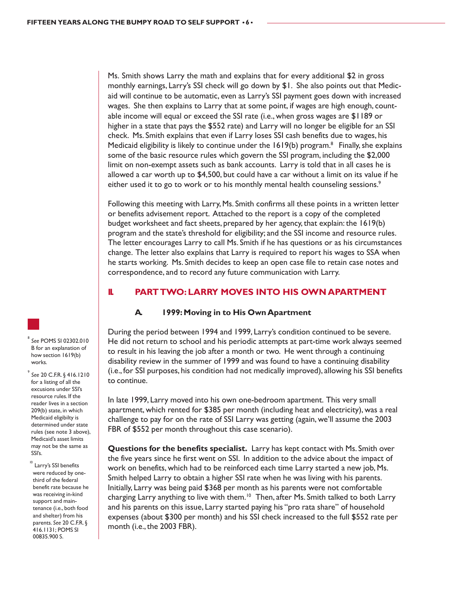Ms. Smith shows Larry the math and explains that for every additional \$2 in gross monthly earnings, Larry's SSI check will go down by \$1. She also points out that Medicaid will continue to be automatic, even as Larry's SSI payment goes down with increased wages. She then explains to Larry that at some point, if wages are high enough, countable income will equal or exceed the SSI rate (i.e., when gross wages are \$1189 or higher in a state that pays the \$552 rate) and Larry will no longer be eligible for an SSI check. Ms. Smith explains that even if Larry loses SSI cash benefits due to wages, his Medicaid eligibility is likely to continue under the  $1619(b)$  program.<sup>8</sup> Finally, she explains some of the basic resource rules which govern the SSI program, including the \$2,000 limit on non-exempt assets such as bank accounts. Larry is told that in all cases he is allowed a car worth up to \$4,500, but could have a car without a limit on its value if he either used it to go to work or to his monthly mental health counseling sessions.<sup>9</sup>

Following this meeting with Larry, Ms. Smith confirms all these points in a written letter or benefits advisement report. Attached to the report is a copy of the completed budget worksheet and fact sheets, prepared by her agency, that explain: the 1619(b) program and the state's threshold for eligibility; and the SSI income and resource rules. The letter encourages Larry to call Ms. Smith if he has questions or as his circumstances change. The letter also explains that Larry is required to report his wages to SSA when he starts working. Ms. Smith decides to keep an open case file to retain case notes and correspondence, and to record any future communication with Larry.

#### **II. PART TWO: LARRY MOVES INTO HIS OWN APARTMENT**

#### **A. 1999: Moving in to His Own Apartment**

During the period between 1994 and 1999, Larry's condition continued to be severe. He did not return to school and his periodic attempts at part-time work always seemed to result in his leaving the job after a month or two. He went through a continuing disability review in the summer of 1999 and was found to have a continuing disability (i.e., for SSI purposes, his condition had not medically improved), allowing his SSI benefits to continue.

In late 1999, Larry moved into his own one-bedroom apartment. This very small apartment, which rented for \$385 per month (including heat and electricity), was a real challenge to pay for on the rate of SSI Larry was getting (again, we'll assume the 2003 FBR of \$552 per month throughout this case scenario).

**Questions for the benefits specialist.** Larry has kept contact with Ms. Smith over the five years since he first went on SSI. In addition to the advice about the impact of work on benefits, which had to be reinforced each time Larry started a new job, Ms. Smith helped Larry to obtain a higher SSI rate when he was living with his parents. Initially, Larry was being paid \$368 per month as his parents were not comfortable charging Larry anything to live with them.<sup>10</sup> Then, after Ms. Smith talked to both Larry and his parents on this issue, Larry started paying his "pro rata share" of household expenses (about \$300 per month) and his SSI check increased to the full \$552 rate per month (i.e., the 2003 FBR).

8 *See* POMS SI 02302.010 B for an explanation of how section 1619(b) works.

9 *See* 20 C.F.R. § 416.1210 for a listing of all the excusions under SSI's resource rules. If the reader lives in a section 209(b) state, in which Medicaid eligibilty is determined under state rules (see note 3 above), Medicaid's asset limits may not be the same as SSI's.

<sup>10</sup> Larry's SSI benefits were reduced by onethird of the federal benefit rate because he was receiving in-kind support and maintenance (i.e., both food and shelter) from his parents. *See* 20 C.F.R. § 416.1131; POMS SI 00835.900 S.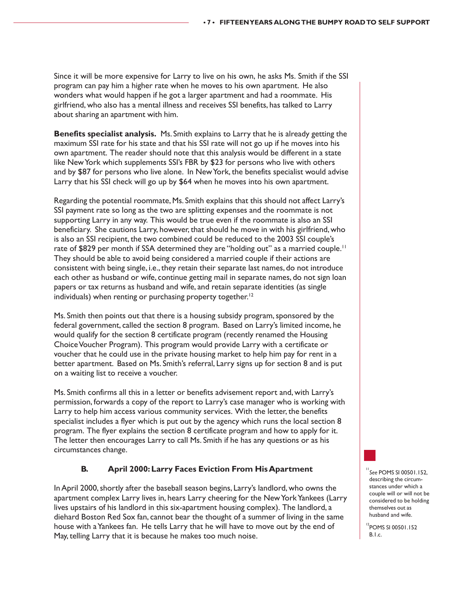Since it will be more expensive for Larry to live on his own, he asks Ms. Smith if the SSI program can pay him a higher rate when he moves to his own apartment. He also wonders what would happen if he got a larger apartment and had a roommate. His girlfriend, who also has a mental illness and receives SSI benefits, has talked to Larry about sharing an apartment with him.

**Benefits specialist analysis.** Ms. Smith explains to Larry that he is already getting the maximum SSI rate for his state and that his SSI rate will not go up if he moves into his own apartment. The reader should note that this analysis would be different in a state like New York which supplements SSI's FBR by \$23 for persons who live with others and by \$87 for persons who live alone. In New York, the benefits specialist would advise Larry that his SSI check will go up by \$64 when he moves into his own apartment.

Regarding the potential roommate, Ms. Smith explains that this should not affect Larry's SSI payment rate so long as the two are splitting expenses and the roommate is not supporting Larry in any way. This would be true even if the roommate is also an SSI beneficiary. She cautions Larry, however, that should he move in with his girlfriend, who is also an SSI recipient, the two combined could be reduced to the 2003 SSI couple's rate of \$829 per month if SSA determined they are "holding out" as a married couple.<sup>11</sup> They should be able to avoid being considered a married couple if their actions are consistent with being single, i.e., they retain their separate last names, do not introduce each other as husband or wife, continue getting mail in separate names, do not sign loan papers or tax returns as husband and wife, and retain separate identities (as single individuals) when renting or purchasing property together.<sup>12</sup>

Ms. Smith then points out that there is a housing subsidy program, sponsored by the federal government, called the section 8 program. Based on Larry's limited income, he would qualify for the section 8 certificate program (recently renamed the Housing Choice Voucher Program). This program would provide Larry with a certificate or voucher that he could use in the private housing market to help him pay for rent in a better apartment. Based on Ms. Smith's referral, Larry signs up for section 8 and is put on a waiting list to receive a voucher.

Ms. Smith confirms all this in a letter or benefits advisement report and, with Larry's permission, forwards a copy of the report to Larry's case manager who is working with Larry to help him access various community services. With the letter, the benefits specialist includes a flyer which is put out by the agency which runs the local section 8 program. The flyer explains the section 8 certificate program and how to apply for it. The letter then encourages Larry to call Ms. Smith if he has any questions or as his circumstances change.

#### **B. April 2000: Larry Faces Eviction From His Apartment**

In April 2000, shortly after the baseball season begins, Larry's landlord, who owns the apartment complex Larry lives in, hears Larry cheering for the New York Yankees (Larry lives upstairs of his landlord in this six-apartment housing complex). The landlord, a diehard Boston Red Sox fan, cannot bear the thought of a summer of living in the same house with a Yankees fan. He tells Larry that he will have to move out by the end of May, telling Larry that it is because he makes too much noise.

<sup>11</sup>*See* POMS SI 00501.152, describing the circumstances under which a couple will or will not be considered to be holding themselves out as husband and wife.

<sup>12</sup>POMS SI 00501.152 B.I.c.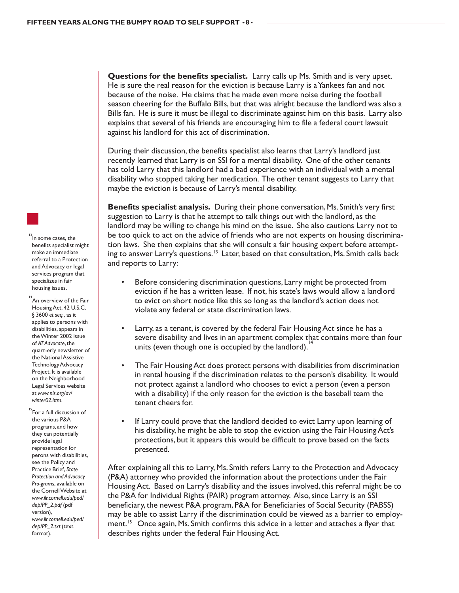**Questions for the benefits specialist.** Larry calls up Ms. Smith and is very upset. He is sure the real reason for the eviction is because Larry is a Yankees fan and not because of the noise. He claims that he made even more noise during the football season cheering for the Buffalo Bills, but that was alright because the landlord was also a Bills fan. He is sure it must be illegal to discriminate against him on this basis. Larry also explains that several of his friends are encouraging him to file a federal court lawsuit against his landlord for this act of discrimination.

During their discussion, the benefits specialist also learns that Larry's landlord just recently learned that Larry is on SSI for a mental disability. One of the other tenants has told Larry that this landlord had a bad experience with an individual with a mental disability who stopped taking her medication. The other tenant suggests to Larry that maybe the eviction is because of Larry's mental disability.

**Benefits specialist analysis.** During their phone conversation, Ms. Smith's very first suggestion to Larry is that he attempt to talk things out with the landlord, as the landlord may be willing to change his mind on the issue. She also cautions Larry not to be too quick to act on the advice of friends who are not experts on housing discrimination laws. She then explains that she will consult a fair housing expert before attempting to answer Larry's questions.<sup>13</sup> Later, based on that consultation, Ms. Smith calls back and reports to Larry:

- Before considering discrimination questions, Larry might be protected from eviction if he has a written lease. If not, his state's laws would allow a landlord to evict on short notice like this so long as the landlord's action does not violate any federal or state discrimination laws.
- Larry, as a tenant, is covered by the federal Fair Housing Act since he has a severe disability and lives in an apartment complex that contains more than four units (even though one is occupied by the landlord).
- The Fair Housing Act does protect persons with disabilities from discrimination in rental housing if the discrimination relates to the person's disability. It would not protect against a landlord who chooses to evict a person (even a person with a disability) if the only reason for the eviction is the baseball team the tenant cheers for.
- If Larry could prove that the landlord decided to evict Larry upon learning of his disability, he might be able to stop the eviction using the Fair Housing Act's protections, but it appears this would be difficult to prove based on the facts presented.

After explaining all this to Larry, Ms. Smith refers Larry to the Protection and Advocacy (P&A) attorney who provided the information about the protections under the Fair Housing Act. Based on Larry's disability and the issues involved, this referral might be to the P&A for Individual Rights (PAIR) program attorney. Also, since Larry is an SSI beneficiary, the newest P&A program, P&A for Beneficiaries of Social Security (PABSS) may be able to assist Larry if the discrimination could be viewed as a barrier to employment.<sup>15</sup> Once again, Ms. Smith confirms this advice in a letter and attaches a flyer that describes rights under the federal Fair Housing Act.

 $13$ In some cases, the benefits specialist might make an immediate referral to a Protection and Advocacy or legal services program that specializes in fair housing issues.

 $14$ An overview of the Fair Housing Act, 42 U.S.C. § 3600 *et seq.*, as it applies to persons with disabilities, appears in the Winter 2002 issue of *AT Advocate*, the quart-erly newsletter of the National Assistive Technology Advocacy Project. It is available on the Neighborhood Legal Services website at *www.nls.org/av/ winter02.htm*.

 $15$ For a full discussion of the various P&A programs, and how they can potentially provide legal representation for perons with disabilities, see the Policy and Practice Brief, *State Protection and Advocacy Pro-grams,* available on the Cornell Website at *www.ilr.cornell.edu/ped/ dep/PP\_2.pdf* (pdf version), *www.ilr.cornell.edu/ped/ dep/PP\_2.txt* (text format).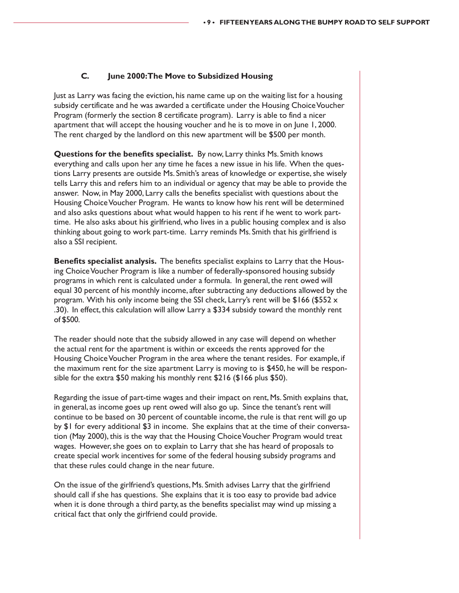#### **C. June 2000: The Move to Subsidized Housing**

Just as Larry was facing the eviction, his name came up on the waiting list for a housing subsidy certificate and he was awarded a certificate under the Housing Choice Voucher Program (formerly the section 8 certificate program). Larry is able to find a nicer apartment that will accept the housing voucher and he is to move in on June 1, 2000. The rent charged by the landlord on this new apartment will be \$500 per month.

**Questions for the benefits specialist.** By now, Larry thinks Ms. Smith knows everything and calls upon her any time he faces a new issue in his life. When the questions Larry presents are outside Ms. Smith's areas of knowledge or expertise, she wisely tells Larry this and refers him to an individual or agency that may be able to provide the answer. Now, in May 2000, Larry calls the benefits specialist with questions about the Housing Choice Voucher Program. He wants to know how his rent will be determined and also asks questions about what would happen to his rent if he went to work parttime. He also asks about his girlfriend, who lives in a public housing complex and is also thinking about going to work part-time. Larry reminds Ms. Smith that his girlfriend is also a SSI recipient.

**Benefits specialist analysis.** The benefits specialist explains to Larry that the Housing Choice Voucher Program is like a number of federally-sponsored housing subsidy programs in which rent is calculated under a formula. In general, the rent owed will equal 30 percent of his monthly income, after subtracting any deductions allowed by the program. With his only income being the SSI check, Larry's rent will be  $$166$  (\$552 x .30). In effect, this calculation will allow Larry a \$334 subsidy toward the monthly rent of \$500.

The reader should note that the subsidy allowed in any case will depend on whether the actual rent for the apartment is within or exceeds the rents approved for the Housing Choice Voucher Program in the area where the tenant resides. For example, if the maximum rent for the size apartment Larry is moving to is \$450, he will be responsible for the extra \$50 making his monthly rent \$216 (\$166 plus \$50).

Regarding the issue of part-time wages and their impact on rent, Ms. Smith explains that, in general, as income goes up rent owed will also go up. Since the tenant's rent will continue to be based on 30 percent of countable income, the rule is that rent will go up by \$1 for every additional \$3 in income. She explains that at the time of their conversation (May 2000), this is the way that the Housing Choice Voucher Program would treat wages. However, she goes on to explain to Larry that she has heard of proposals to create special work incentives for some of the federal housing subsidy programs and that these rules could change in the near future.

On the issue of the girlfriend's questions, Ms. Smith advises Larry that the girlfriend should call if she has questions. She explains that it is too easy to provide bad advice when it is done through a third party, as the benefits specialist may wind up missing a critical fact that only the girlfriend could provide.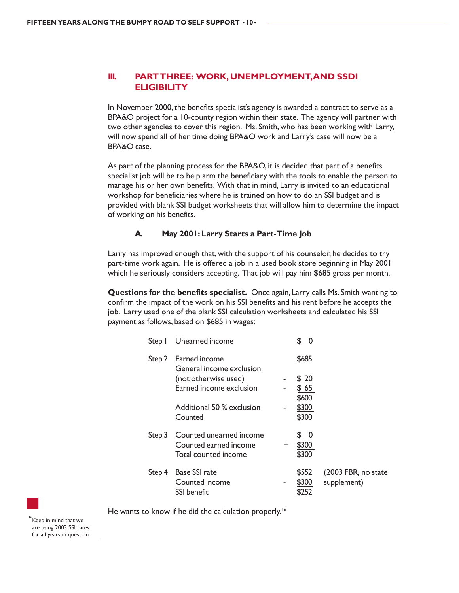#### **III. PART THREE: WORK, UNEMPLOYMENT, AND SSDI ELIGIBILITY**

In November 2000, the benefits specialist's agency is awarded a contract to serve as a BPA&O project for a 10-county region within their state. The agency will partner with two other agencies to cover this region. Ms. Smith, who has been working with Larry, will now spend all of her time doing BPA&O work and Larry's case will now be a BPA&O case.

As part of the planning process for the BPA&O, it is decided that part of a benefits specialist job will be to help arm the beneficiary with the tools to enable the person to manage his or her own benefits. With that in mind, Larry is invited to an educational workshop for beneficiaries where he is trained on how to do an SSI budget and is provided with blank SSI budget worksheets that will allow him to determine the impact of working on his benefits.

#### **A. May 2001: Larry Starts a Part-Time Job**

Larry has improved enough that, with the support of his counselor, he decides to try part-time work again. He is offered a job in a used book store beginning in May 2001 which he seriously considers accepting. That job will pay him \$685 gross per month.

**Questions for the benefits specialist.** Once again, Larry calls Ms. Smith wanting to confirm the impact of the work on his SSI benefits and his rent before he accepts the job. Larry used one of the blank SSI calculation worksheets and calculated his SSI payment as follows, based on \$685 in wages:

| Step I | Unearned income                                                          |     | \$<br>O                     |                                    |
|--------|--------------------------------------------------------------------------|-----|-----------------------------|------------------------------------|
| Step 2 | Earned income<br>General income exclusion                                |     | \$685                       |                                    |
|        | (not otherwise used)                                                     |     | \$ 20                       |                                    |
|        | Earned income exclusion                                                  |     | \$65                        |                                    |
|        |                                                                          |     | \$600                       |                                    |
|        | Additional 50 % exclusion                                                |     | \$300                       |                                    |
|        | Counted                                                                  |     | \$300                       |                                    |
| Step 3 | Counted unearned income<br>Counted earned income<br>Total counted income | $+$ | £.<br>- 0<br>\$300<br>\$300 |                                    |
| Step 4 | <b>Base SSI rate</b><br>Counted income<br><b>SSI</b> benefit             |     | \$552<br>\$300<br>\$252     | (2003 FBR, no state<br>supplement) |

He wants to know if he did the calculation properly.<sup>16</sup>

 $\degree$ Keep in mind that we are using 2003 SSI rates for all years in question.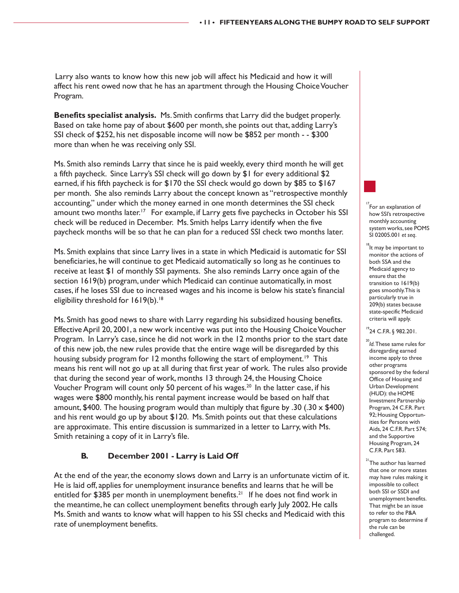Larry also wants to know how this new job will affect his Medicaid and how it will affect his rent owed now that he has an apartment through the Housing Choice Voucher Program.

**Benefits specialist analysis.** Ms. Smith confirms that Larry did the budget properly. Based on take home pay of about \$600 per month, she points out that, adding Larry's SSI check of \$252, his net disposable income will now be \$852 per month - - \$300 more than when he was receiving only SSI.

Ms. Smith also reminds Larry that since he is paid weekly, every third month he will get a fifth paycheck. Since Larry's SSI check will go down by \$1 for every additional \$2 earned, if his fifth paycheck is for \$170 the SSI check would go down by \$85 to \$167 per month. She also reminds Larry about the concept known as "retrospective monthly accounting," under which the money earned in one month determines the SSI check amount two months later.<sup>17</sup> For example, if Larry gets five paychecks in October his SSI check will be reduced in December. Ms. Smith helps Larry identify when the five paycheck months will be so that he can plan for a reduced SSI check two months later.

Ms. Smith explains that since Larry lives in a state in which Medicaid is automatic for SSI beneficiaries, he will continue to get Medicaid automatically so long as he continues to receive at least \$1 of monthly SSI payments. She also reminds Larry once again of the section 1619(b) program, under which Medicaid can continue automatically, in most cases, if he loses SSI due to increased wages and his income is below his state's financial eligibility threshold for 1619(b).<sup>18</sup>

Ms. Smith has good news to share with Larry regarding his subsidized housing benefits. Effective April 20, 2001, a new work incentive was put into the Housing Choice Voucher Program. In Larry's case, since he did not work in the 12 months prior to the start date of this new job, the new rules provide that the entire wage will be disregarded by this housing subsidy program for 12 months following the start of employment.<sup>19</sup> This means his rent will not go up at all during that first year of work. The rules also provide that during the second year of work, months 13 through 24, the Housing Choice Voucher Program will count only 50 percent of his wages.<sup>20</sup> In the latter case, if his wages were \$800 monthly, his rental payment increase would be based on half that amount, \$400. The housing program would than multiply that figure by .30 (.30  $\times$  \$400) and his rent would go up by about \$120. Ms. Smith points out that these calculations are approximate. This entire discussion is summarized in a letter to Larry, with Ms. Smith retaining a copy of it in Larry's file.

#### **B. December 2001 - Larry is Laid Off**

At the end of the year, the economy slows down and Larry is an unfortunate victim of it. He is laid off, applies for unemployment insurance benefits and learns that he will be entitled for \$385 per month in unemployment benefits.<sup>21</sup> If he does not find work in the meantime, he can collect unemployment benefits through early July 2002. He calls Ms. Smith and wants to know what will happen to his SSI checks and Medicaid with this rate of unemployment benefits.

 $\mathrm{^{17}}$ For an explanation of how SSI's retrospective monthly accounting system works, see POMS SI 02005.001 *et seq*.

 $\degree$ lt may be important to monitor the actions of both SSA and the Medicaid agency to ensure that the transition to 1619(b) goes smoothly. This is particularly true in 209(b) states because state-specific Medicaid criteria will apply.

 $^{19}$ 24 C.F.R. § 982.201.

<sup>20</sup>*Id.* These same rules for disregarding earned income apply to three other programs sponsored by the federal Office of Housing and Urban Development (HUD): the HOME Investment Partnership Program, 24 C.F.R. Part 92; Housing Opportunities for Persons with Aids, 24 C.F.R. Part 574; and the Supportive Housing Program, 24 C.F.R. Part 583.

 $^{21}$  The author has learned that one or more states may have rules making it impossible to collect both SSI or SSDI and unemployment benefits. That might be an issue to refer to the P&A program to determine if the rule can be challenged.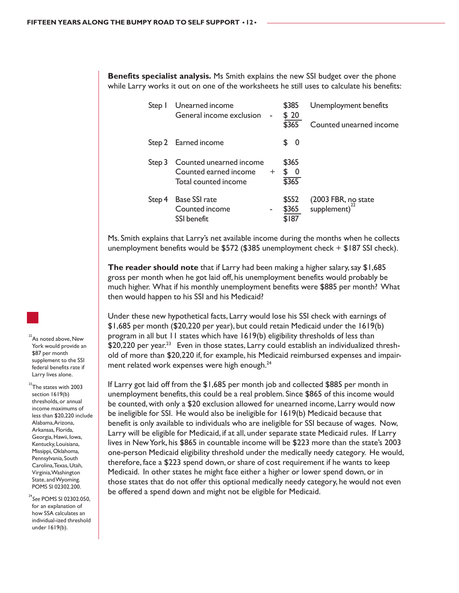**Benefits specialist analysis.** Ms Smith explains the new SSI budget over the phone while Larry works it out on one of the worksheets he still uses to calculate his benefits:

| Step I | Unearned income<br>General income exclusion                              |     | \$385<br>\$20<br>\$365          | Unemployment benefits<br>Counted unearned income |
|--------|--------------------------------------------------------------------------|-----|---------------------------------|--------------------------------------------------|
|        | Step 2 Earned income                                                     |     | \$0                             |                                                  |
| Step 3 | Counted unearned income<br>Counted earned income<br>Total counted income | $+$ | \$365<br>$\frac{1}{2}$<br>\$365 |                                                  |
| Step 4 | <b>Base SSI rate</b><br>Counted income<br>SSI benefit                    |     | \$552<br>\$365<br>\$187         | (2003 FBR, no state<br>supplement) <sup>22</sup> |

Ms. Smith explains that Larry's net available income during the months when he collects unemployment benefits would be \$572 (\$385 unemployment check +  $$187$  SSI check).

**The reader should note** that if Larry had been making a higher salary, say \$1,685 gross per month when he got laid off, his unemployment benefits would probably be much higher. What if his monthly unemployment benefits were \$885 per month? What then would happen to his SSI and his Medicaid?

Under these new hypothetical facts, Larry would lose his SSI check with earnings of \$1,685 per month (\$20,220 per year), but could retain Medicaid under the 1619(b) program in all but 11 states which have 1619(b) eligibility thresholds of less than \$20,220 per year.<sup>23</sup> Even in those states, Larry could establish an individualized threshold of more than \$20,220 if, for example, his Medicaid reimbursed expenses and impairment related work expenses were high enough.<sup>24</sup>

If Larry got laid off from the \$1,685 per month job and collected \$885 per month in unemployment benefits, this could be a real problem. Since \$865 of this income would be counted, with only a \$20 exclusion allowed for unearned income, Larry would now be ineligible for SSI. He would also be ineligible for 1619(b) Medicaid because that benefit is only available to individuals who are ineligible for SSI because of wages. Now, Larry will be eligible for Medicaid, if at all, under separate state Medicaid rules. If Larry lives in New York, his \$865 in countable income will be \$223 more than the state's 2003 one-person Medicaid eligibility threshold under the medically needy category. He would, therefore, face a \$223 spend down, or share of cost requirement if he wants to keep Medicaid. In other states he might face either a higher or lower spend down, or in those states that do not offer this optional medically needy category, he would not even be offered a spend down and might not be eligible for Medicaid.



 $^{23}$ The states with 2003 section 1619(b) thresholds, or annual income maximums of less than \$20,220 include Alabama, Arizona, Arkansas, Florida, Georgia, Hawii, Iowa, Kentucky, Louisiana, Missippi, Oklahoma, Pennsylvania, South Carolina, Texas, Utah, Virginia, Washington State, and Wyoming. POMS SI 02302.200.

<sup>24</sup>*See* POMS SI 02302.050, for an explanation of how SSA calculates an individual-ized threshold under 1619(b).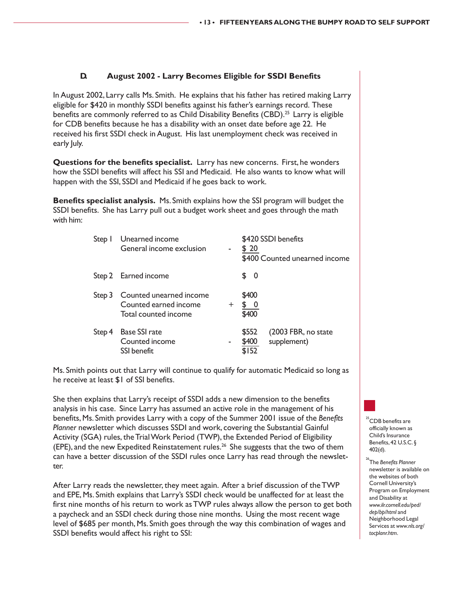#### **D. August 2002 - Larry Becomes Eligible for SSDI Benefits**

In August 2002, Larry calls Ms. Smith. He explains that his father has retired making Larry eligible for \$420 in monthly SSDI benefits against his father's earnings record. These benefits are commonly referred to as Child Disability Benefits (CBD).<sup>25</sup> Larry is eligible for CDB benefits because he has a disability with an onset date before age 22. He received his first SSDI check in August. His last unemployment check was received in early July.

**Questions for the benefits specialist.** Larry has new concerns. First, he wonders how the SSDI benefits will affect his SSI and Medicaid. He also wants to know what will happen with the SSI, SSDI and Medicaid if he goes back to work.

**Benefits specialist analysis.** Ms. Smith explains how the SSI program will budget the SSDI benefits. She has Larry pull out a budget work sheet and goes through the math with him:

| Step I | Unearned income<br>General income exclusion                              |      | \$420 SSDI benefits<br>\$20<br>\$400 Counted unearned income  |
|--------|--------------------------------------------------------------------------|------|---------------------------------------------------------------|
|        | Step 2 Earned income                                                     |      | \$0                                                           |
| Step 3 | Counted unearned income<br>Counted earned income<br>Total counted income | $^+$ | \$400<br>\$400                                                |
| Step 4 | <b>Base SSI rate</b><br>Counted income<br><b>SSI</b> benefit             | ۰.   | (2003 FBR, no state<br>\$552<br>supplement)<br>\$400<br>\$152 |

Ms. Smith points out that Larry will continue to qualify for automatic Medicaid so long as he receive at least \$1 of SSI benefits.

She then explains that Larry's receipt of SSDI adds a new dimension to the benefits analysis in his case. Since Larry has assumed an active role in the management of his benefits, Ms. Smith provides Larry with a copy of the Summer 2001 issue of the *Benefits Planner* newsletter which discusses SSDI and work, covering the Substantial Gainful Activity (SGA) rules, the Trial Work Period (TWP), the Extended Period of Eligibility (EPE), and the new Expedited Reinstatement rules.<sup>26</sup> She suggests that the two of them can have a better discussion of the SSDI rules once Larry has read through the newsletter.

After Larry reads the newsletter, they meet again. After a brief discussion of the TWP and EPE, Ms. Smith explains that Larry's SSDI check would be unaffected for at least the first nine months of his return to work as TWP rules always allow the person to get both a paycheck and an SSDI check during those nine months. Using the most recent wage level of \$685 per month, Ms. Smith goes through the way this combination of wages and SSDI benefits would affect his right to SSI:

<sup>5</sup>CDB benefits are officially known as Child's Insurance Benefits, 42 U.S.C. § 402(d).

26The *Benefits Planner* newsletter is available on the websites of both Cornell University's Program on Employment and Disability at *www.ilr.cornell.edu/ped/ dep/bp/html* and Neighborhood Legal Services at *www.nls.org/ tocplanr.htm*.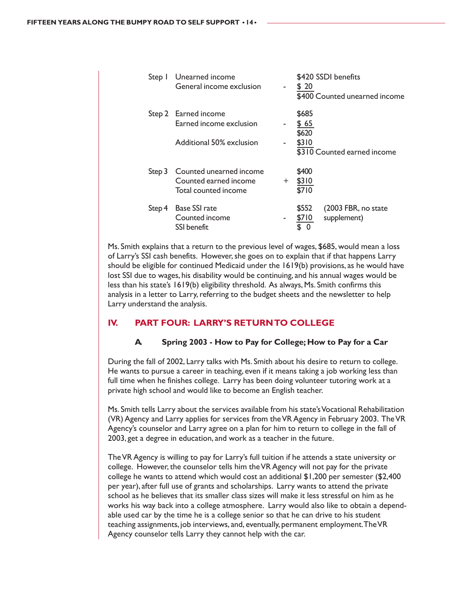| Step I | Unearned income<br>General income exclusion                                 | $\sim$ | \$20                            | \$420 SSDI benefits<br>\$400 Counted unearned income |
|--------|-----------------------------------------------------------------------------|--------|---------------------------------|------------------------------------------------------|
|        | Step 2 Earned income<br>Earned income exclusion<br>Additional 50% exclusion | ۰      | \$685<br>\$65<br>\$620<br>\$310 | \$310 Counted earned income                          |
| Step 3 | Counted unearned income<br>Counted earned income<br>Total counted income    | $+$    | \$400<br>\$310<br>\$710         |                                                      |
| Step 4 | <b>Base SSI rate</b><br>Counted income<br>SSI benefit                       | ۰      | \$552<br>\$710                  | (2003 FBR, no state<br>supplement)                   |

Ms. Smith explains that a return to the previous level of wages, \$685, would mean a loss of Larry's SSI cash benefits. However, she goes on to explain that if that happens Larry should be eligible for continued Medicaid under the 1619(b) provisions, as he would have lost SSI due to wages, his disability would be continuing, and his annual wages would be less than his state's 1619(b) eligibility threshold. As always, Ms. Smith confirms this analysis in a letter to Larry, referring to the budget sheets and the newsletter to help Larry understand the analysis.

#### **IV. PART FOUR: LARRY'S RETURN TO COLLEGE**

#### **A. Spring 2003 - How to Pay for College; How to Pay for a Car**

During the fall of 2002, Larry talks with Ms. Smith about his desire to return to college. He wants to pursue a career in teaching, even if it means taking a job working less than full time when he finishes college. Larry has been doing volunteer tutoring work at a private high school and would like to become an English teacher.

Ms. Smith tells Larry about the services available from his state's Vocational Rehabilitation (VR) Agency and Larry applies for services from the VR Agency in February 2003. The VR Agency's counselor and Larry agree on a plan for him to return to college in the fall of 2003, get a degree in education, and work as a teacher in the future.

The VR Agency is willing to pay for Larry's full tuition if he attends a state university or college. However, the counselor tells him the VR Agency will not pay for the private college he wants to attend which would cost an additional \$1,200 per semester (\$2,400 per year), after full use of grants and scholarships. Larry wants to attend the private school as he believes that its smaller class sizes will make it less stressful on him as he works his way back into a college atmosphere. Larry would also like to obtain a dependable used car by the time he is a college senior so that he can drive to his student teaching assignments, job interviews, and, eventually, permanent employment. The VR Agency counselor tells Larry they cannot help with the car.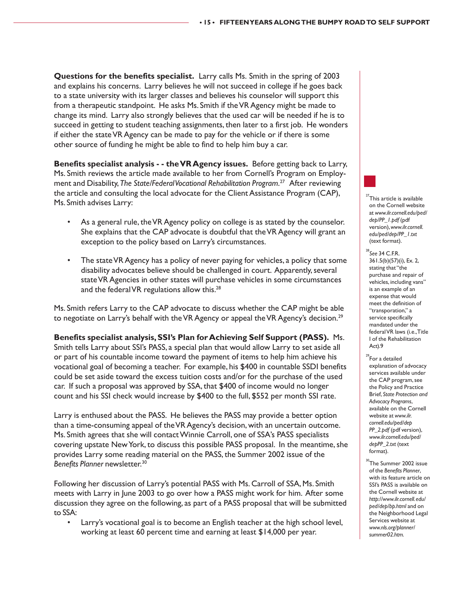**Questions for the benefits specialist.** Larry calls Ms. Smith in the spring of 2003 and explains his concerns. Larry believes he will not succeed in college if he goes back to a state university with its larger classes and believes his counselor will support this from a therapeutic standpoint. He asks Ms. Smith if the VR Agency might be made to change its mind. Larry also strongly believes that the used car will be needed if he is to succeed in getting to student teaching assignments, then later to a first job. He wonders if either the state VR Agency can be made to pay for the vehicle or if there is some other source of funding he might be able to find to help him buy a car.

**Benefits specialist analysis - - the VR Agency issues.** Before getting back to Larry, Ms. Smith reviews the article made available to her from Cornell's Program on Employment and Disability, *The State/Federal Vocational Rehabilitation Program*. 27 After reviewing the article and consulting the local advocate for the Client Assistance Program (CAP), Ms. Smith advises Larry:

- As a general rule, the VR Agency policy on college is as stated by the counselor. She explains that the CAP advocate is doubtful that the VR Agency will grant an exception to the policy based on Larry's circumstances.
- The state VR Agency has a policy of never paying for vehicles, a policy that some disability advocates believe should be challenged in court. Apparently, several state VR Agencies in other states will purchase vehicles in some circumstances and the federal VR regulations allow this. $28$

Ms. Smith refers Larry to the CAP advocate to discuss whether the CAP might be able to negotiate on Larry's behalf with the VR Agency or appeal the VR Agency's decision.<sup>29</sup>

**Benefits specialist analysis, SSI's Plan for Achieving Self Support (PASS).** Ms. Smith tells Larry about SSI's PASS, a special plan that would allow Larry to set aside all or part of his countable income toward the payment of items to help him achieve his vocational goal of becoming a teacher. For example, his \$400 in countable SSDI benefits could be set aside toward the excess tuition costs and/or for the purchase of the used car. If such a proposal was approved by SSA, that \$400 of income would no longer count and his SSI check would increase by \$400 to the full, \$552 per month SSI rate.

Larry is enthused about the PASS. He believes the PASS may provide a better option than a time-consuming appeal of the VR Agency's decision, with an uncertain outcome. Ms. Smith agrees that she will contact Winnie Carroll, one of SSA's PASS specialists covering upstate New York, to discuss this possible PASS proposal. In the meantime, she provides Larry some reading material on the PASS, the Summer 2002 issue of the *Benefits Planner* newsletter.30

Following her discussion of Larry's potential PASS with Ms. Carroll of SSA, Ms. Smith meets with Larry in June 2003 to go over how a PASS might work for him. After some discussion they agree on the following, as part of a PASS proposal that will be submitted to SSA:

Larry's vocational goal is to become an English teacher at the high school level, working at least 60 percent time and earning at least \$14,000 per year.



*edu/ped/dep/PP\_1.txt* (text format).

<sup>28</sup>*See* 34 C.F.R. 361.5(b)(57)(i), Ex. 2, stating that "the purchase and repair of vehicles, including vans" is an example of an expense that would meet the definition of "transporation," a service specifically mandated under the federal VR laws (i.e., Title I of the Rehabilitation Act).9

- $29$ For a detailed explanation of advocacy services available under the CAP program, see the Policy and Practice Brief, *State Protection and Advocacy Programs*, available on the Cornell website at *www.ilr. cornell.edu/ped/dep PP\_2.pdf* (pdf version), *www.ilr.cornell.edu/ped/ depPP\_2.txt* (text format).
- $\sqrt{\text{The Summer }2002}$  issue of the *Benefits Planner*, with its feature article on SSI's PASS is available on the Cornell website at *http://www.ilr.cornell. edu/ ped/dep/bp.html* and on the Neighborhood Legal Services website at *www.nls.org/planner/ summer02.htm.*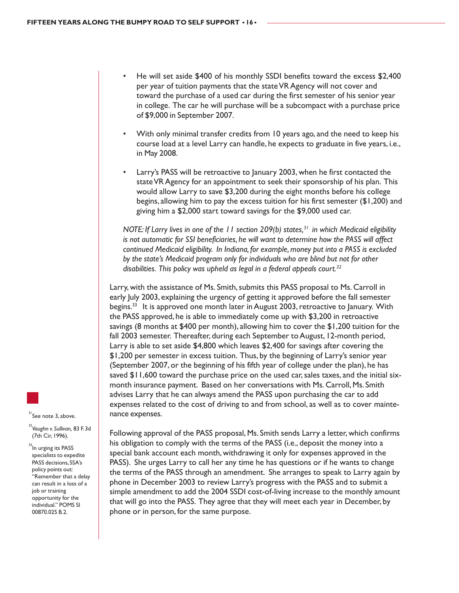- He will set aside \$400 of his monthly SSDI benefits toward the excess \$2,400 per year of tuition payments that the state VR Agency will not cover and toward the purchase of a used car during the first semester of his senior year in college. The car he will purchase will be a subcompact with a purchase price of \$9,000 in September 2007.
- With only minimal transfer credits from 10 years ago, and the need to keep his course load at a level Larry can handle, he expects to graduate in five years, i.e., in May 2008.
- Larry's PASS will be retroactive to January 2003, when he first contacted the state VR Agency for an appointment to seek their sponsorship of his plan. This would allow Larry to save \$3,200 during the eight months before his college begins, allowing him to pay the excess tuition for his first semester (\$1,200) and giving him a \$2,000 start toward savings for the \$9,000 used car.

*NOTE: If Larry lives in one of the 11 section 209(b) states,<sup>31</sup> in which Medicaid eligibility is not automatic for SSI beneficiaries, he will want to determine how the PASS will affect continued Medicaid eligibility. In Indiana, for example, money put into a PASS is excluded by the state's Medicaid program only for individuals who are blind but not for other disabilities. This policy was upheld as legal in a federal appeals court.32*

Larry, with the assistance of Ms. Smith, submits this PASS proposal to Ms. Carroll in early July 2003, explaining the urgency of getting it approved before the fall semester begins.<sup>33</sup> It is approved one month later in August 2003, retroactive to January. With the PASS approved, he is able to immediately come up with \$3,200 in retroactive savings (8 months at \$400 per month), allowing him to cover the \$1,200 tuition for the fall 2003 semester. Thereafter, during each September to August, 12-month period, Larry is able to set aside \$4,800 which leaves \$2,400 for savings after covering the \$1,200 per semester in excess tuition. Thus, by the beginning of Larry's senior year (September 2007, or the beginning of his fifth year of college under the plan), he has saved \$11,600 toward the purchase price on the used car, sales taxes, and the initial sixmonth insurance payment. Based on her conversations with Ms. Carroll, Ms. Smith advises Larry that he can always amend the PASS upon purchasing the car to add expenses related to the cost of driving to and from school, as well as to cover maintenance expenses.

 $31$ See note 3, above. <sup>32</sup>*Vaughn v. Sullivan,* 83 F. 3d

(7th Cir, 1996).

<sup>33</sup>In urging its PASS specialists to expedite PASS decisions, SSA's policy points out: "Remember that a delay can result in a loss of a job or training opportunity for the individual." POMS SI 00870.025 B.2.

Following approval of the PASS proposal, Ms. Smith sends Larry a letter, which confirms his obligation to comply with the terms of the PASS (i.e., deposit the money into a special bank account each month, withdrawing it only for expenses approved in the PASS). She urges Larry to call her any time he has questions or if he wants to change the terms of the PASS through an amendment. She arranges to speak to Larry again by phone in December 2003 to review Larry's progress with the PASS and to submit a simple amendment to add the 2004 SSDI cost-of-living increase to the monthly amount that will go into the PASS. They agree that they will meet each year in December, by phone or in person, for the same purpose.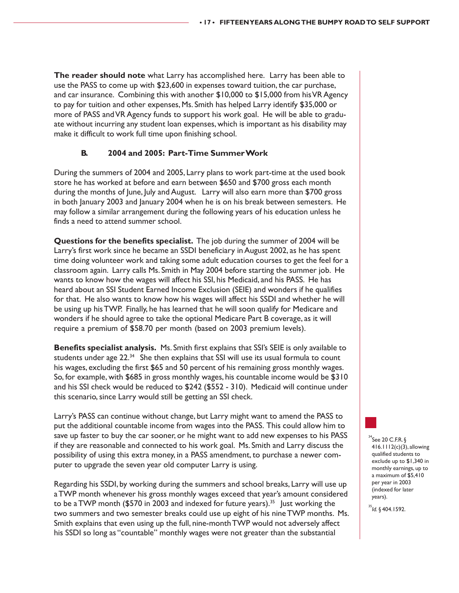**The reader should note** what Larry has accomplished here. Larry has been able to use the PASS to come up with \$23,600 in expenses toward tuition, the car purchase, and car insurance. Combining this with another \$10,000 to \$15,000 from his VR Agency to pay for tuition and other expenses, Ms. Smith has helped Larry identify \$35,000 or more of PASS and VR Agency funds to support his work goal. He will be able to graduate without incurring any student loan expenses, which is important as his disability may make it difficult to work full time upon finishing school.

#### **B. 2004 and 2005: Part-Time Summer Work**

During the summers of 2004 and 2005, Larry plans to work part-time at the used book store he has worked at before and earn between \$650 and \$700 gross each month during the months of June, July and August. Larry will also earn more than \$700 gross in both January 2003 and January 2004 when he is on his break between semesters. He may follow a similar arrangement during the following years of his education unless he finds a need to attend summer school.

**Questions for the benefits specialist.** The job during the summer of 2004 will be Larry's first work since he became an SSDI beneficiary in August 2002, as he has spent time doing volunteer work and taking some adult education courses to get the feel for a classroom again. Larry calls Ms. Smith in May 2004 before starting the summer job. He wants to know how the wages will affect his SSI, his Medicaid, and his PASS. He has heard about an SSI Student Earned Income Exclusion (SEIE) and wonders if he qualifies for that. He also wants to know how his wages will affect his SSDI and whether he will be using up his TWP. Finally, he has learned that he will soon qualify for Medicare and wonders if he should agree to take the optional Medicare Part B coverage, as it will require a premium of \$58.70 per month (based on 2003 premium levels).

**Benefits specialist analysis.** Ms. Smith first explains that SSI's SEIE is only available to students under age  $22.^{34}$  She then explains that SSI will use its usual formula to count his wages, excluding the first \$65 and 50 percent of his remaining gross monthly wages. So, for example, with \$685 in gross monthly wages, his countable income would be \$310 and his SSI check would be reduced to \$242 (\$552 - 310). Medicaid will continue under this scenario, since Larry would still be getting an SSI check.

Larry's PASS can continue without change, but Larry might want to amend the PASS to put the additional countable income from wages into the PASS. This could allow him to save up faster to buy the car sooner, or he might want to add new expenses to his PASS if they are reasonable and connected to his work goal. Ms. Smith and Larry discuss the possibility of using this extra money, in a PASS amendment, to purchase a newer computer to upgrade the seven year old computer Larry is using.

Regarding his SSDI, by working during the summers and school breaks, Larry will use up a TWP month whenever his gross monthly wages exceed that year's amount considered to be a TWP month (\$570 in 2003 and indexed for future years).<sup>35</sup> Just working the two summers and two semester breaks could use up eight of his nine TWP months. Ms. Smith explains that even using up the full, nine-month TWP would not adversely affect his SSDI so long as "countable" monthly wages were not greater than the substantial

 $34$ See 20 C.F.R.  $\S$ 416.1112(c)(3), allowing qualified students to exclude up to \$1,340 in monthly earnings, up to a maximum of \$5,410 per year in 2003 (indexed for later years).

<sup>35</sup>*Id.* § 404.1592.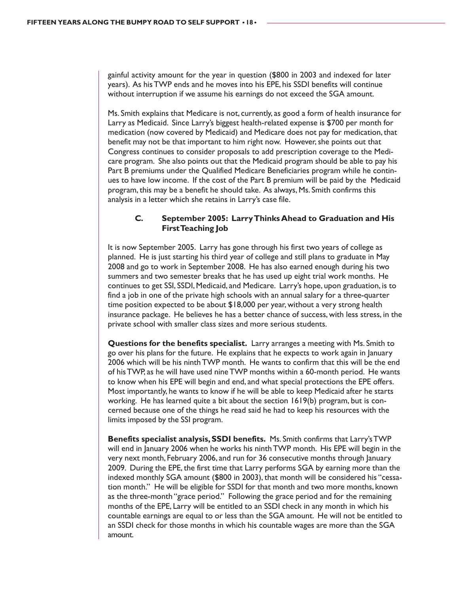gainful activity amount for the year in question (\$800 in 2003 and indexed for later years). As his TWP ends and he moves into his EPE, his SSDI benefits will continue without interruption if we assume his earnings do not exceed the SGA amount.

Ms. Smith explains that Medicare is not, currently, as good a form of health insurance for Larry as Medicaid. Since Larry's biggest health-related expense is \$700 per month for medication (now covered by Medicaid) and Medicare does not pay for medication, that benefit may not be that important to him right now. However, she points out that Congress continues to consider proposals to add prescription coverage to the Medicare program. She also points out that the Medicaid program should be able to pay his Part B premiums under the Qualified Medicare Beneficiaries program while he continues to have low income. If the cost of the Part B premium will be paid by the Medicaid program, this may be a benefit he should take. As always, Ms. Smith confirms this analysis in a letter which she retains in Larry's case file.

#### **C. September 2005: Larry Thinks Ahead to Graduation and His First Teaching Job**

It is now September 2005. Larry has gone through his first two years of college as planned. He is just starting his third year of college and still plans to graduate in May 2008 and go to work in September 2008. He has also earned enough during his two summers and two semester breaks that he has used up eight trial work months. He continues to get SSI, SSDI, Medicaid, and Medicare. Larry's hope, upon graduation, is to find a job in one of the private high schools with an annual salary for a three-quarter time position expected to be about \$18,000 per year, without a very strong health insurance package. He believes he has a better chance of success, with less stress, in the private school with smaller class sizes and more serious students.

**Questions for the benefits specialist.** Larry arranges a meeting with Ms. Smith to go over his plans for the future. He explains that he expects to work again in January 2006 which will be his ninth TWP month. He wants to confirm that this will be the end of his TWP, as he will have used nine TWP months within a 60-month period. He wants to know when his EPE will begin and end, and what special protections the EPE offers. Most importantly, he wants to know if he will be able to keep Medicaid after he starts working. He has learned quite a bit about the section 1619(b) program, but is concerned because one of the things he read said he had to keep his resources with the limits imposed by the SSI program.

**Benefits specialist analysis, SSDI benefits.** Ms. Smith confirms that Larry's TWP will end in January 2006 when he works his ninth TWP month. His EPE will begin in the very next month, February 2006, and run for 36 consecutive months through January 2009. During the EPE, the first time that Larry performs SGA by earning more than the indexed monthly SGA amount (\$800 in 2003), that month will be considered his "cessation month." He will be eligible for SSDI for that month and two more months, known as the three-month "grace period." Following the grace period and for the remaining months of the EPE, Larry will be entitled to an SSDI check in any month in which his countable earnings are equal to or less than the SGA amount. He will not be entitled to an SSDI check for those months in which his countable wages are more than the SGA amount.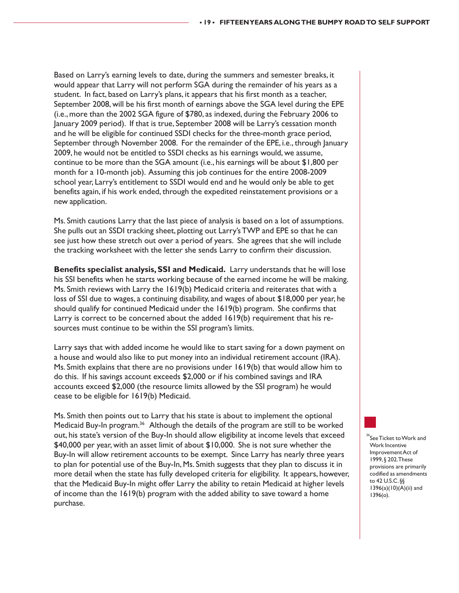Based on Larry's earning levels to date, during the summers and semester breaks, it would appear that Larry will not perform SGA during the remainder of his years as a student. In fact, based on Larry's plans, it appears that his first month as a teacher, September 2008, will be his first month of earnings above the SGA level during the EPE (i.e., more than the 2002 SGA figure of \$780, as indexed, during the February 2006 to January 2009 period). If that is true, September 2008 will be Larry's cessation month and he will be eligible for continued SSDI checks for the three-month grace period, September through November 2008. For the remainder of the EPE, i.e., through January 2009, he would not be entitled to SSDI checks as his earnings would, we assume, continue to be more than the SGA amount (i.e., his earnings will be about \$1,800 per month for a 10-month job). Assuming this job continues for the entire 2008-2009 school year, Larry's entitlement to SSDI would end and he would only be able to get benefits again, if his work ended, through the expedited reinstatement provisions or a new application.

Ms. Smith cautions Larry that the last piece of analysis is based on a lot of assumptions. She pulls out an SSDI tracking sheet, plotting out Larry's TWP and EPE so that he can see just how these stretch out over a period of years. She agrees that she will include the tracking worksheet with the letter she sends Larry to confirm their discussion.

**Benefits specialist analysis, SSI and Medicaid.** Larry understands that he will lose his SSI benefits when he starts working because of the earned income he will be making. Ms. Smith reviews with Larry the 1619(b) Medicaid criteria and reiterates that with a loss of SSI due to wages, a continuing disability, and wages of about \$18,000 per year, he should qualify for continued Medicaid under the 1619(b) program. She confirms that Larry is correct to be concerned about the added 1619(b) requirement that his resources must continue to be within the SSI program's limits.

Larry says that with added income he would like to start saving for a down payment on a house and would also like to put money into an individual retirement account (IRA). Ms. Smith explains that there are no provisions under 1619(b) that would allow him to do this. If his savings account exceeds \$2,000 or if his combined savings and IRA accounts exceed \$2,000 (the resource limits allowed by the SSI program) he would cease to be eligible for 1619(b) Medicaid.

Ms. Smith then points out to Larry that his state is about to implement the optional Medicaid Buy-In program.36 Although the details of the program are still to be worked out, his state's version of the Buy-In should allow eligibility at income levels that exceed \$40,000 per year, with an asset limit of about \$10,000. She is not sure whether the Buy-In will allow retirement accounts to be exempt. Since Larry has nearly three years to plan for potential use of the Buy-In, Ms. Smith suggests that they plan to discuss it in more detail when the state has fully developed criteria for eligibility. It appears, however, that the Medicaid Buy-In might offer Larry the ability to retain Medicaid at higher levels of income than the 1619(b) program with the added ability to save toward a home purchase.



 $^{\circ}$ See Ticket to Work and Work Incentive Improvement Act of 1999, § 202. These provisions are primarily codified as amendments to 42 U.S.C. §§ 1396(a)(10)(A)(ii) and 1396(o).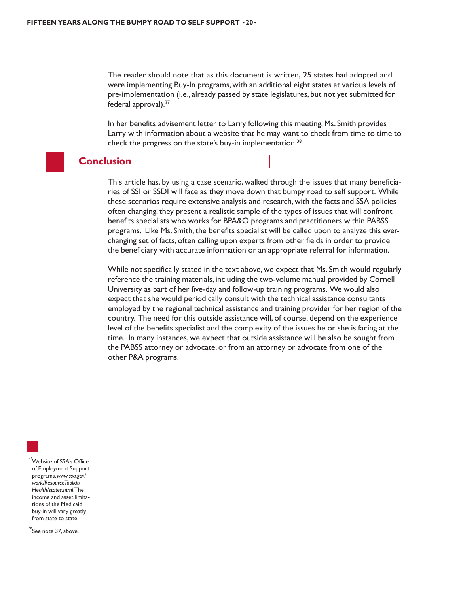The reader should note that as this document is written, 25 states had adopted and were implementing Buy-In programs, with an additional eight states at various levels of pre-implementation (i.e., already passed by state legislatures, but not yet submitted for federal approval).37

In her benefits advisement letter to Larry following this meeting, Ms. Smith provides Larry with information about a website that he may want to check from time to time to check the progress on the state's buy-in implementation.<sup>38</sup>

#### **Conclusion**

This article has, by using a case scenario, walked through the issues that many beneficiaries of SSI or SSDI will face as they move down that bumpy road to self support. While these scenarios require extensive analysis and research, with the facts and SSA policies often changing, they present a realistic sample of the types of issues that will confront benefits specialists who works for BPA&O programs and practitioners within PABSS programs. Like Ms. Smith, the benefits specialist will be called upon to analyze this everchanging set of facts, often calling upon experts from other fields in order to provide the beneficiary with accurate information or an appropriate referral for information.

While not specifically stated in the text above, we expect that Ms. Smith would regularly reference the training materials, including the two-volume manual provided by Cornell University as part of her five-day and follow-up training programs. We would also expect that she would periodically consult with the technical assistance consultants employed by the regional technical assistance and training provider for her region of the country. The need for this outside assistance will, of course, depend on the experience level of the benefits specialist and the complexity of the issues he or she is facing at the time. In many instances, we expect that outside assistance will be also be sought from the PABSS attorney or advocate, or from an attorney or advocate from one of the other P&A programs.

Website of SSA's Office of Employment Support programs, *www.ssa.gov/ work/ResourceToolkit/ Health/states.html*. The income and asset limitations of the Medicaid buy-in will vary greatly from state to state.

 $38$ See note 37, above.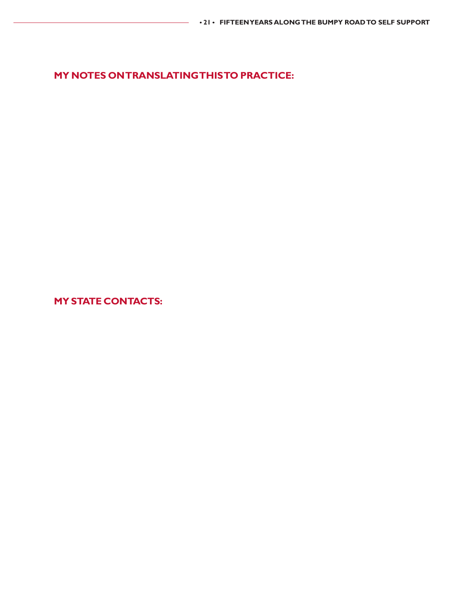**MY NOTES ON TRANSLATING THIS TO PRACTICE:**

**MY STATE CONTACTS:**